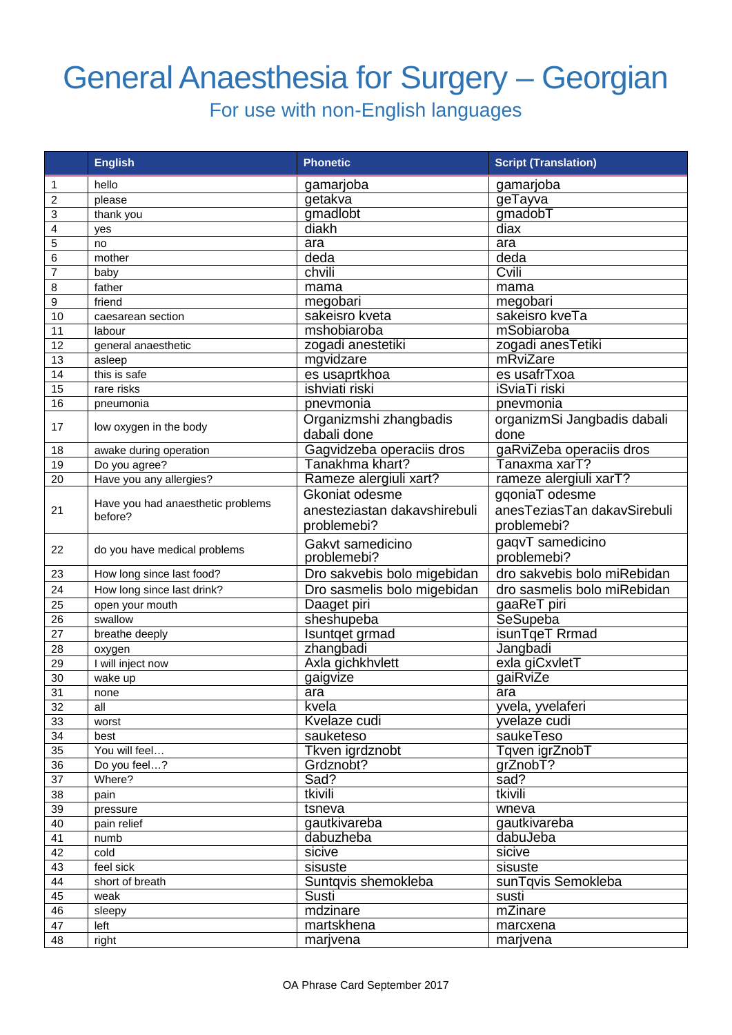## General Anaesthesia for Surgery – Georgian

For use with non-English languages

|                         | <b>English</b>                               | <b>Phonetic</b>              | <b>Script (Translation)</b> |
|-------------------------|----------------------------------------------|------------------------------|-----------------------------|
| 1                       | hello                                        | gamarjoba                    | gamarjoba                   |
| $\overline{\mathbf{c}}$ | please                                       | getakva                      | geTayva                     |
| 3                       | thank you                                    | gmadlobt                     | gmadobT                     |
| 4                       | yes                                          | diakh                        | diax                        |
| 5                       | no                                           | ara                          | ara                         |
| 6                       | mother                                       | deda                         | deda                        |
| 7                       | baby                                         | chvili                       | Cvili                       |
| 8                       | father                                       | mama                         | mama                        |
| 9                       | friend                                       | megobari                     | megobari                    |
| 10                      | caesarean section                            | sakeisro kveta               | sakeisro kveTa              |
| 11                      | labour                                       | mshobiaroba                  | mSobiaroba                  |
| 12                      | general anaesthetic                          | zogadi anestetiki            | zogadi anesTetiki           |
| 13                      | asleep                                       | mgvidzare                    | mRviZare                    |
| 14                      | this is safe                                 | es usaprtkhoa                | es usafrTxoa                |
| 15                      | rare risks                                   | ishviati riski               | iSviaTi riski               |
| 16                      | pneumonia                                    | pnevmonia                    | pnevmonia                   |
| 17                      |                                              | Organizmshi zhangbadis       | organizmSi Jangbadis dabali |
|                         | low oxygen in the body                       | dabali done                  | done                        |
| 18                      | awake during operation                       | Gagvidzeba operaciis dros    | gaRviZeba operaciis dros    |
| 19                      | Do you agree?                                | Tanakhma khart?              | Tanaxma xarT?               |
| 20                      | Have you any allergies?                      | Rameze alergiuli xart?       | rameze alergiuli xarT?      |
|                         |                                              | Gkoniat odesme               | gqoniaT odesme              |
| 21                      | Have you had anaesthetic problems<br>before? | anesteziastan dakavshirebuli | anesTeziasTan dakavSirebuli |
|                         |                                              | problemebi?                  | problemebi?                 |
|                         |                                              | Gakvt samedicino             | gaqvT samedicino            |
| 22                      | do you have medical problems                 | problemebi?                  | problemebi?                 |
| 23                      | How long since last food?                    | Dro sakvebis bolo migebidan  | dro sakvebis bolo miRebidan |
| 24                      | How long since last drink?                   | Dro sasmelis bolo migebidan  | dro sasmelis bolo miRebidan |
| 25                      | open your mouth                              | Daaget piri                  | gaaReT piri                 |
| 26                      | swallow                                      | sheshupeba                   | <b>SeSupeba</b>             |
| 27                      | breathe deeply                               | Isuntget grmad               | isunTqeT Rrmad              |
| 28                      | oxygen                                       | zhangbadi                    | Jangbadi                    |
| 29                      | I will inject now                            | Axla gichkhvlett             | exla giCxvletT              |
| 30                      | wake up                                      | gaigvize                     | gaiRviZe                    |
| 31                      | none                                         | ara                          | ara                         |
| 32                      | all                                          | kvela                        | yvela, yvelaferi            |
| 33                      | worst                                        | Kvelaze cudi                 | yvelaze cudi                |
| 34                      | best                                         | sauketeso                    | saukeTeso                   |
| 35                      | You will feel                                | Tkven igrdznobt              | Tqven igrZnobT              |
| 36                      | Do you feel?                                 | Grdznobt?                    | grZnobT?                    |
| 37                      | Where?                                       | Sad?                         | sad?                        |
| 38                      | pain                                         | tkivili                      | tkivili                     |
| 39                      | pressure                                     | tsneva                       | wneva                       |
| 40                      | pain relief                                  | gautkivareba                 | gautkivareba                |
| 41                      | numb                                         | dabuzheba                    | dabuJeba                    |
| 42                      | cold                                         | sicive                       | sicive                      |
| 43                      | feel sick                                    | sisuste                      | sisuste                     |
| 44                      | short of breath                              | Suntqvis shemokleba          | sunTqvis Semokleba          |
| 45<br>46                | weak                                         | Susti<br>mdzinare            | susti<br>mZinare            |
| 47                      | sleepy<br>left                               | martskhena                   | marcxena                    |
| 48                      | right                                        | marjvena                     | marjvena                    |
|                         |                                              |                              |                             |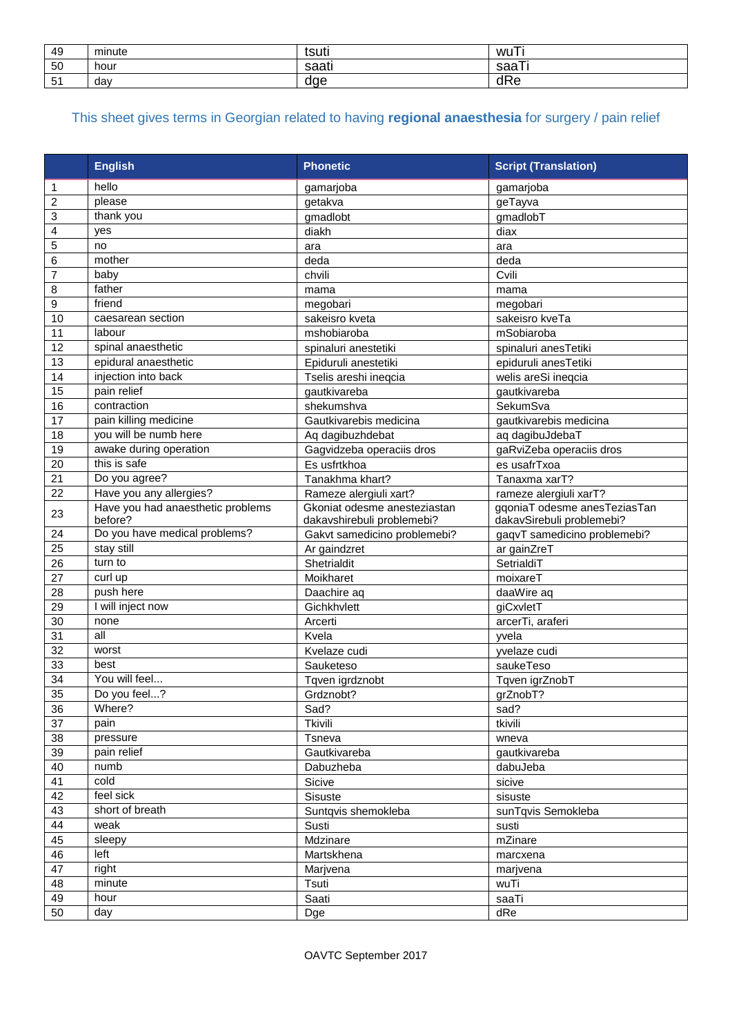| 49         | minute | tsuti           | wu               |
|------------|--------|-----------------|------------------|
| 50         | hour   | $\sim$<br>sddi. | --<br>coo<br>saa |
| -51<br>ا ت | day    | dae             | dRe              |

## This sheet gives terms in Georgian related to having **regional anaesthesia** for surgery / pain relief

|                | <b>English</b>                               | <b>Phonetic</b>                                            | <b>Script (Translation)</b>                               |
|----------------|----------------------------------------------|------------------------------------------------------------|-----------------------------------------------------------|
| 1              | hello                                        | gamarjoba                                                  | gamarjoba                                                 |
| $\overline{c}$ | please                                       | getakva                                                    | geTayva                                                   |
| 3              | thank you                                    | gmadlobt                                                   | gmadlobT                                                  |
| 4              | yes                                          | diakh                                                      | diax                                                      |
| 5              | no                                           | ara                                                        | ara                                                       |
| 6              | mother                                       | deda                                                       | deda                                                      |
| 7              | baby                                         | chvili                                                     | Cvili                                                     |
| 8              | father                                       | mama                                                       | mama                                                      |
| 9              | friend                                       | megobari                                                   | megobari                                                  |
| 10             | caesarean section                            | sakeisro kveta                                             | sakeisro kveTa                                            |
| 11             | labour                                       | mshobiaroba                                                | mSobiaroba                                                |
| 12             | spinal anaesthetic                           | spinaluri anestetiki                                       | spinaluri anesTetiki                                      |
| 13             | epidural anaesthetic                         | Epiduruli anestetiki                                       | epiduruli anesTetiki                                      |
| 14             | injection into back                          | Tselis areshi ineqcia                                      | welis areSi ineqcia                                       |
| 15             | pain relief                                  | gautkivareba                                               | gautkivareba                                              |
| 16             | contraction                                  | shekumshva                                                 | SekumSva                                                  |
| 17             | pain killing medicine                        | Gautkivarebis medicina                                     | gautkivarebis medicina                                    |
| 18             | you will be numb here                        | Aq dagibuzh debat                                          | aq dagibuJdebaT                                           |
| 19             | awake during operation                       | Gagvidzeba operaciis dros                                  | gaRviZeba operaciis dros                                  |
| 20             | this is safe                                 | Es usfrtkhoa                                               | es usafrTxoa                                              |
| 21             | Do you agree?                                | Tanakhma khart?                                            | Tanaxma xarT?                                             |
| 22             | Have you any allergies?                      | Rameze alergiuli xart?                                     | rameze alergiuli xarT?                                    |
| 23             | Have you had anaesthetic problems<br>before? | Gkoniat odesme anesteziastan<br>dakavshirebuli problemebi? | ggoniaT odesme anesTeziasTan<br>dakavSirebuli problemebi? |
| 24             | Do you have medical problems?                | Gakvt samedicino problemebi?                               | gaqvT samedicino problemebi?                              |
| 25             | stay still                                   | Ar gaindzret                                               | ar gainZreT                                               |
| 26             | turn to                                      | Shetrialdit                                                | SetrialdiT                                                |
| 27             | curl up                                      | Moikharet                                                  | moixareT                                                  |
| 28             | push here                                    | Daachire aq                                                | daaWire aq                                                |
| 29             | I will inject now                            | Gichkhvlett                                                | giCxvletT                                                 |
| 30             | none                                         | Arcerti                                                    | arcerTi, araferi                                          |
| 31             | all                                          | Kvela                                                      | yvela                                                     |
| 32             | worst                                        | Kvelaze cudi                                               | yvelaze cudi                                              |
| 33             | best                                         | Sauketeso                                                  | saukeTeso                                                 |
| 34             | You will feel                                | Tqven igrdznobt                                            | Tqven igrZnobT                                            |
| 35             | Do you feel?                                 | Grdznobt?                                                  | grZnobT?                                                  |
| 36             | Where?                                       | Sad?                                                       | sad?                                                      |
| 37             | pain                                         | Tkivili                                                    | tkivili                                                   |
| 38             | pressure                                     | Tsneva                                                     | wneva                                                     |
| 39             | pain relief                                  | Gautkivareba                                               | gautkivareba                                              |
| 40             | numb                                         | Dabuzheba                                                  | dabuJeba                                                  |
| 41             | cold                                         | Sicive                                                     | sicive                                                    |
| 42             | feel sick                                    | Sisuste                                                    | sisuste                                                   |
| 43             | short of breath                              | Suntqvis shemokleba                                        | sunTqvis Semokleba                                        |
| 44             | weak                                         | Susti                                                      | susti                                                     |
| 45             | sleepy                                       | Mdzinare                                                   | mZinare                                                   |
| 46             | left                                         | Martskhena                                                 | marcxena                                                  |
| 47             | right                                        | Marjvena                                                   | marjvena                                                  |
| 48             | minute                                       | Tsuti                                                      | wuTi                                                      |
| 49             | hour                                         | Saati                                                      | saaTi                                                     |
| 50             | day                                          | Dge                                                        | dRe                                                       |